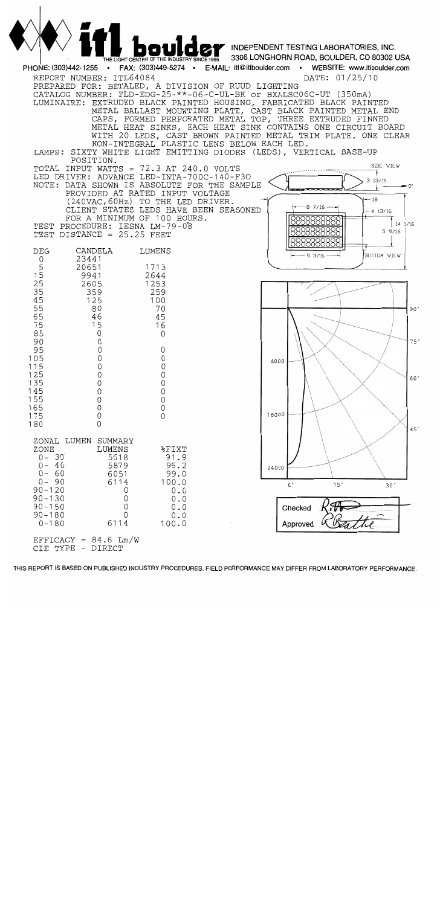

THIS REPORT IS BASED ON PUBLISHED INDUSTRY PROCEDURES. FIELD PERFORMANCE MAY DIFFER FROM LABORATORY PERFORMANCE.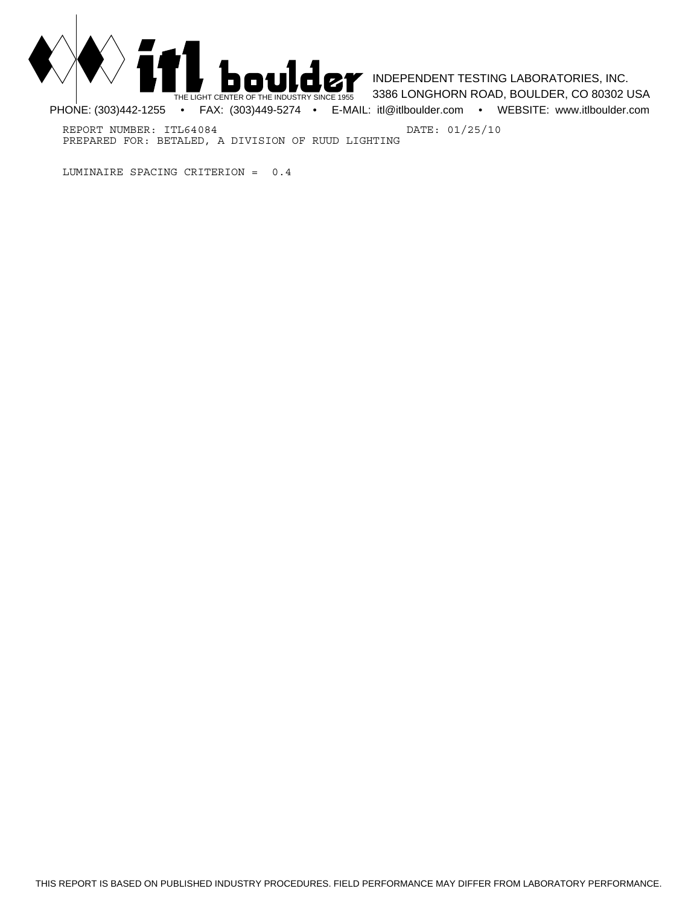

**INDEPENDENT TESTING LABORATORIES, INC.** 3386 LONGHORN ROAD, BOULDER, CO 80302 USA

PHONE: (303)442-1255 • FAX: (303)449-5274 • E-MAIL: itl@itlboulder.com • WEBSITE: www.itlboulder.com

REPORT NUMBER: ITL64084 DATE: 01/25/10 PREPARED FOR: BETALED, A DIVISION OF RUUD LIGHTING

LUMINAIRE SPACING CRITERION = 0.4